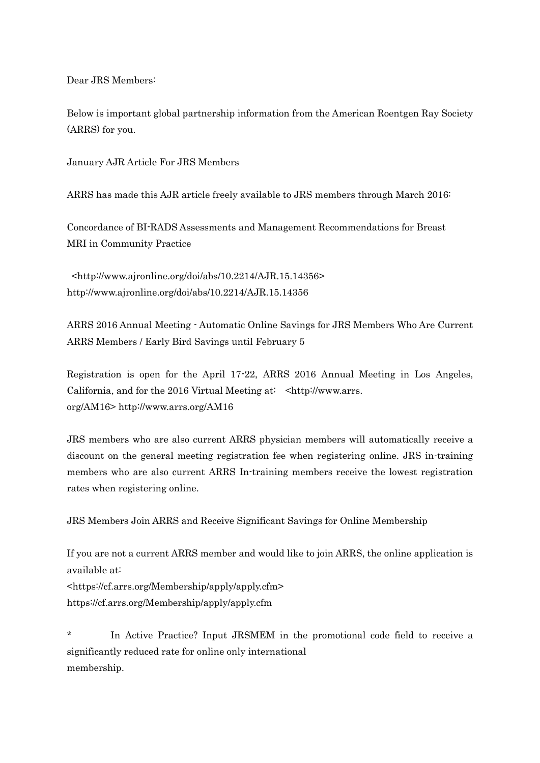Dear JRS Members:

Below is important global partnership information from the American Roentgen Ray Society (ARRS) for you.

January AJR Article For JRS Members

ARRS has made this AJR article freely available to JRS members through March 2016:

Concordance of BI-RADS Assessments and Management Recommendations for Breast MRI in Community Practice

<http://www.ajronline.org/doi/abs/10.2214/AJR.15.14356> http://www.ajronline.org/doi/abs/10.2214/AJR.15.14356

ARRS 2016 Annual Meeting - Automatic Online Savings for JRS Members Who Are Current ARRS Members / Early Bird Savings until February 5

Registration is open for the April 17-22, ARRS 2016 Annual Meeting in Los Angeles, California, and for the 2016 Virtual Meeting at: <http://www.arrs. org/AM16> http://www.arrs.org/AM16

JRS members who are also current ARRS physician members will automatically receive a discount on the general meeting registration fee when registering online. JRS in-training members who are also current ARRS In-training members receive the lowest registration rates when registering online.

JRS Members Join ARRS and Receive Significant Savings for Online Membership

If you are not a current ARRS member and would like to join ARRS, the online application is available at:

<https://cf.arrs.org/Membership/apply/apply.cfm> https://cf.arrs.org/Membership/apply/apply.cfm

\* In Active Practice? Input JRSMEM in the promotional code field to receive a significantly reduced rate for online only international membership.